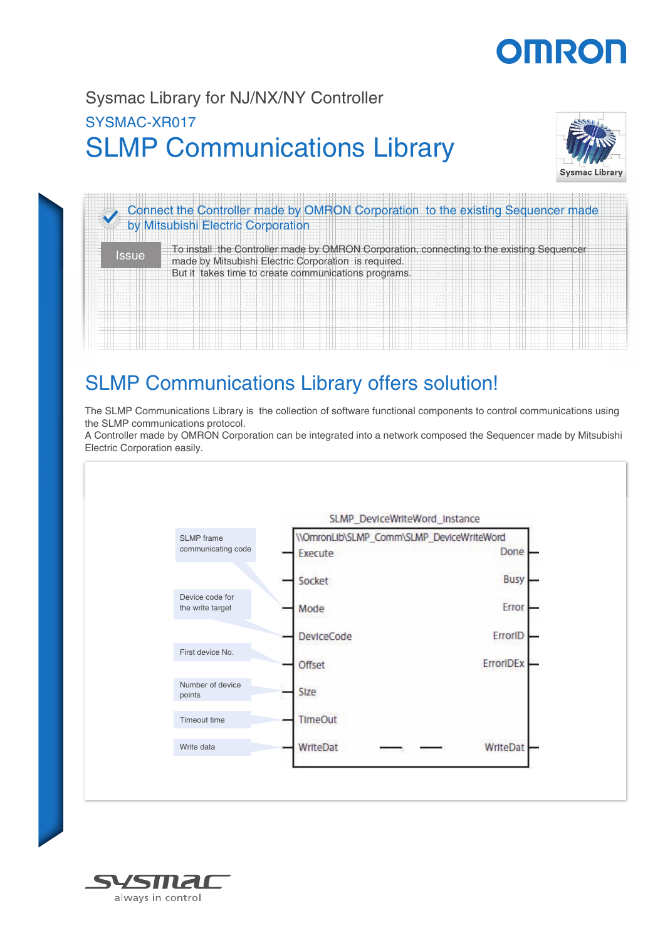# OMROF

## SLMP Communications Library Sysmac Library for NJ/NX/NY Controller SYSMAC-XR017





## SLMP Communications Library offers solution!

The SLMP Communications Library is the collection of software functional components to control communications using the SLMP communications protocol.

A Controller made by OMRON Corporation can be integrated into a network composed the Sequencer made by Mitsubishi Electric Corporation easily.